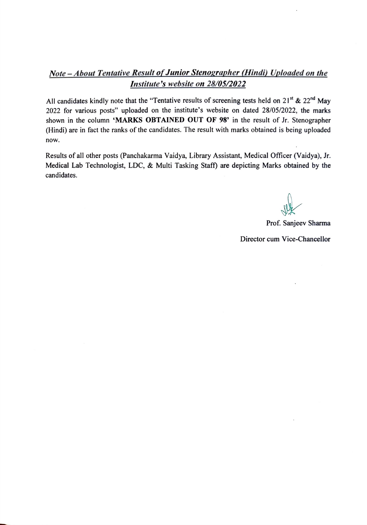#### Note - About Tentative Result of Junior Stenographer (Hindi) Uploaded on the Institute's website on 28/05/2022

All candidates kindly note that the "Tentative results of screening tests held on  $21^{st}$  &  $22^{nd}$  May 2022 for various posts" uploaded on the institute's website on dated 28/05/2022, the marks shown in the column 'MARKS OBTAINED OUT OF 98' in the result of Jr. Stenographer (Hindi) are in fact the ranks of the candidates. The result with marks obtained is being uploaded now.

Results of all other posts (Panchakarma Vaidya, Library Assistant, Medical Officer (Vaidya), Jr. Medical Lab Technologist, LDC, & Multi Tasking Staff) are depicting Marks obtained by the candidates.

Prof. Sanjeev Sharma

Director cum Vice-Chancellor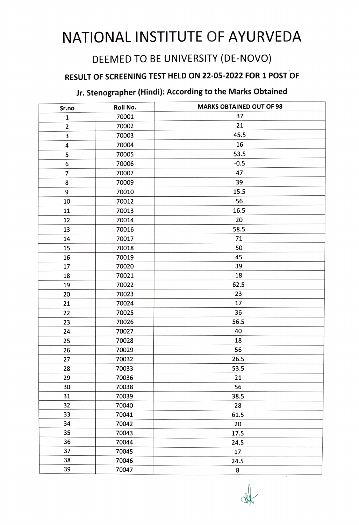# NATIONAL INSTITUTE OF AYURVEDA

# DEEMED TO BE UNIVERSITY (DE-NOVO)

## RESULT OF sCREENING TEST HELD ON 22-05-2022 FOR 1 POST OF

## Jr. Stenographer (Hindi): According to the Marks Obtained

| Sr.no                   | Roll No. | <b>MARKS OBTAINED OUT OF 98</b> |
|-------------------------|----------|---------------------------------|
| $\mathbf 1$             | 70001    | 37                              |
| $\mathbf 2$             | 70002    | 21                              |
| 3                       | 70003    | 45.5                            |
| 4                       | 70004    | 16                              |
| 5                       | 70005    | 53.5                            |
| 6                       | 70006    | $-0.5$                          |
| $\overline{\mathbf{z}}$ | 70007    | 47                              |
| 8                       | 70009    | 39                              |
| 9                       | 70010    | 15.5                            |
| 10                      | 70012    | 56                              |
| 11                      | 70013    | 16.5                            |
| 12                      | 70014    | 20                              |
| 13                      | 70016    | 58.5                            |
| 14                      | 70017    | 71                              |
| 15                      | 70018    | 50                              |
| 16                      | 70019    | 45                              |
| 17                      | 70020    | 39                              |
| 18                      | 70021    | 18                              |
| 19                      | 70022    | 62.5                            |
| 20                      | 70023    | 23                              |
| 21                      | 70024    | 17                              |
| 22                      | 70025    | 36                              |
| 23                      | 70026    | 56.5                            |
| 24                      | 70027    | 40                              |
| 25                      | 70028    | 18                              |
| 26                      | 70029    | 56                              |
| 27                      | 70032    | 26.5                            |
| 28                      | 70033    | 53.5                            |
| 29                      | 70036    | 21                              |
| 30                      | 70038    | 56                              |
| 31                      | 70039    | 38.5                            |
| 32                      | 70040    | 28                              |
| 33                      | 70041    | 61.5                            |
| 34                      | 70042    | 20                              |
| 35                      | 70043    | 17.5                            |
| 36                      | 70044    | 24.5                            |
| 37                      | 70045    | 17                              |
| 38                      | 70046    | 24.5                            |
| 39                      | 70047    | 8                               |